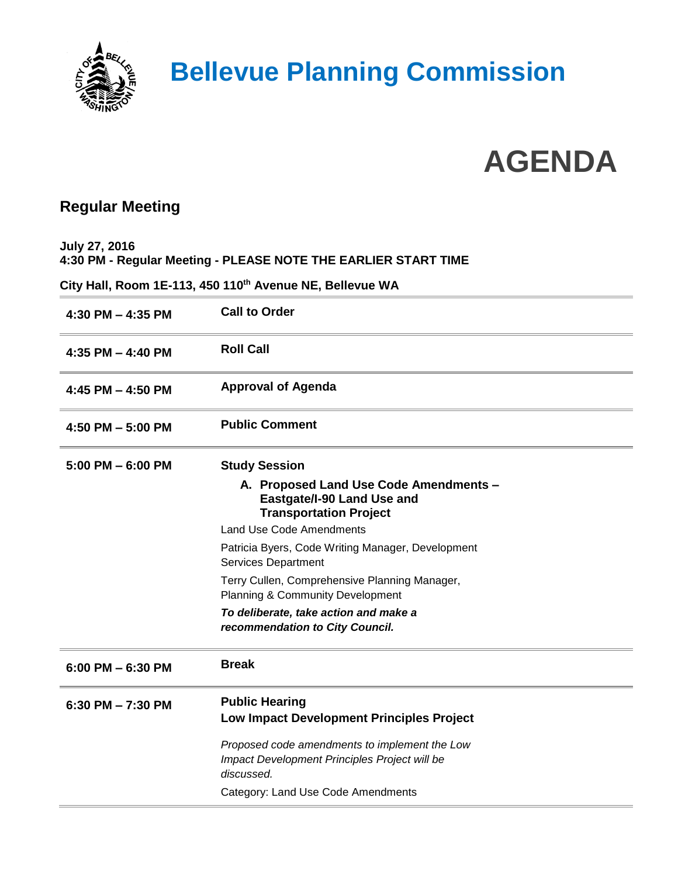

### **Bellevue Planning Commission**

# **AGENDA**

#### **Regular Meeting**

**July 27, 2016 4:30 PM - Regular Meeting - PLEASE NOTE THE EARLIER START TIME**

**City Hall, Room 1E-113, 450 110th Avenue NE, Bellevue WA**

| $4:30$ PM $- 4:35$ PM | <b>Call to Order</b>                                                                                         |
|-----------------------|--------------------------------------------------------------------------------------------------------------|
| 4:35 PM $-$ 4:40 PM   | <b>Roll Call</b>                                                                                             |
| 4:45 PM $-$ 4:50 PM   | <b>Approval of Agenda</b>                                                                                    |
| 4:50 PM $-$ 5:00 PM   | <b>Public Comment</b>                                                                                        |
| $5:00$ PM $-6:00$ PM  | <b>Study Session</b>                                                                                         |
|                       | A. Proposed Land Use Code Amendments -<br>Eastgate/I-90 Land Use and<br><b>Transportation Project</b>        |
|                       | <b>Land Use Code Amendments</b>                                                                              |
|                       | Patricia Byers, Code Writing Manager, Development<br><b>Services Department</b>                              |
|                       | Terry Cullen, Comprehensive Planning Manager,<br><b>Planning &amp; Community Development</b>                 |
|                       | To deliberate, take action and make a<br>recommendation to City Council.                                     |
| $6:00$ PM $-6:30$ PM  | <b>Break</b>                                                                                                 |
| 6:30 PM $- 7:30$ PM   | <b>Public Hearing</b><br>Low Impact Development Principles Project                                           |
|                       | Proposed code amendments to implement the Low<br>Impact Development Principles Project will be<br>discussed. |
|                       | Category: Land Use Code Amendments                                                                           |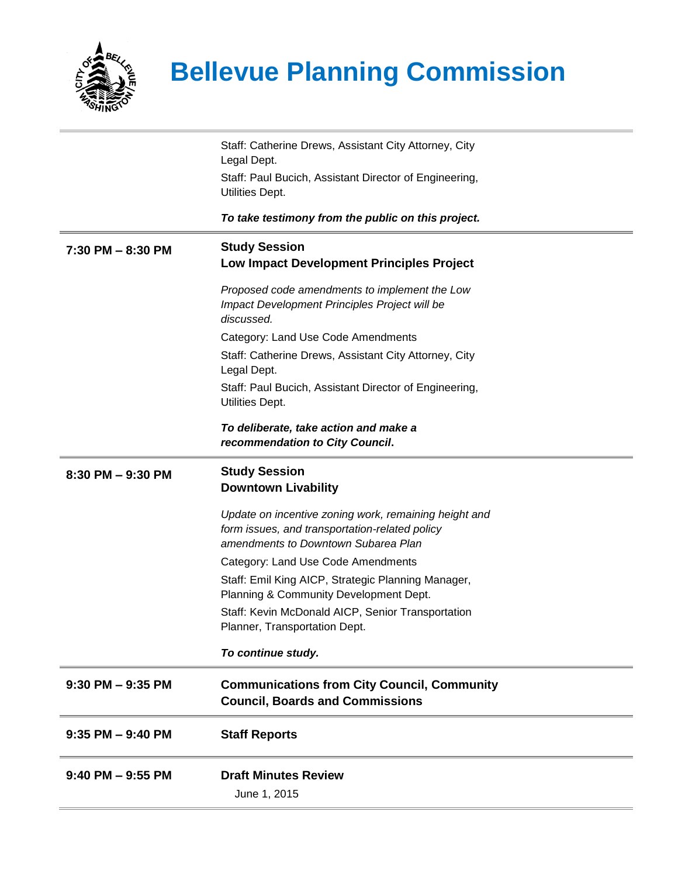

## **Bellevue Planning Commission**

|                      | Staff: Catherine Drews, Assistant City Attorney, City<br>Legal Dept.                                                                           |
|----------------------|------------------------------------------------------------------------------------------------------------------------------------------------|
|                      | Staff: Paul Bucich, Assistant Director of Engineering,                                                                                         |
|                      | Utilities Dept.                                                                                                                                |
|                      | To take testimony from the public on this project.                                                                                             |
| 7:30 PM - 8:30 PM    | <b>Study Session</b><br>Low Impact Development Principles Project                                                                              |
|                      | Proposed code amendments to implement the Low<br>Impact Development Principles Project will be<br>discussed.                                   |
|                      | Category: Land Use Code Amendments                                                                                                             |
|                      | Staff: Catherine Drews, Assistant City Attorney, City<br>Legal Dept.                                                                           |
|                      | Staff: Paul Bucich, Assistant Director of Engineering,<br>Utilities Dept.                                                                      |
|                      | To deliberate, take action and make a<br>recommendation to City Council.                                                                       |
| 8:30 PM - 9:30 PM    | <b>Study Session</b><br><b>Downtown Livability</b>                                                                                             |
|                      | Update on incentive zoning work, remaining height and<br>form issues, and transportation-related policy<br>amendments to Downtown Subarea Plan |
|                      | Category: Land Use Code Amendments                                                                                                             |
|                      | Staff: Emil King AICP, Strategic Planning Manager,<br>Planning & Community Development Dept.                                                   |
|                      | Staff: Kevin McDonald AICP, Senior Transportation<br>Planner, Transportation Dept.                                                             |
|                      | To continue study.                                                                                                                             |
| $9:30$ PM $-9:35$ PM | <b>Communications from City Council, Community</b><br><b>Council, Boards and Commissions</b>                                                   |
| $9:35$ PM $-9:40$ PM | <b>Staff Reports</b>                                                                                                                           |
| $9:40$ PM $-9:55$ PM | <b>Draft Minutes Review</b>                                                                                                                    |
|                      | June 1, 2015                                                                                                                                   |